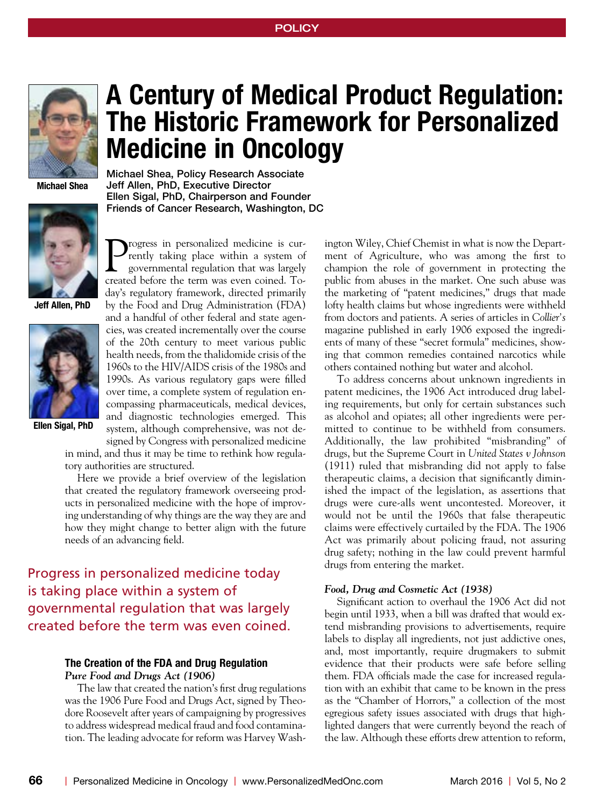

**Michael Shea**



**Jeff Allen, PhD**



**Ellen Sigal, PhD**

# **A Century of Medical Product Regulation: The Historic Framework for Personalized Medicine in Oncology**

Michael Shea, Policy Research Associate Jeff Allen, PhD, Executive Director Ellen Sigal, PhD, Chairperson and Founder Friends of Cancer Research, Washington, DC

Progress in personalized medicine is currently taking place within a system of governmental regulation that was largely created before the term was even coined. Today's regulatory framework, directed primarily by the Food and Drug Administration (FDA) and a handful of other federal and state agencies, was created incrementally over the course of the 20th century to meet various public health needs, from the thalidomide crisis of the 1960s to the HIV/AIDS crisis of the 1980s and 1990s. As various regulatory gaps were filled over time, a complete system of regulation encompassing pharmaceuticals, medical devices, and diagnostic technologies emerged. This system, although comprehensive, was not de-

signed by Congress with personalized medicine

in mind, and thus it may be time to rethink how regulatory authorities are structured.

Here we provide a brief overview of the legislation that created the regulatory framework overseeing products in personalized medicine with the hope of improving understanding of why things are the way they are and how they might change to better align with the future needs of an advancing field.

Progress in personalized medicine today is taking place within a system of governmental regulation that was largely created before the term was even coined.

## **The Creation of the FDA and Drug Regulation** *Pure Food and Drugs Act (1906)*

The law that created the nation's first drug regulations was the 1906 Pure Food and Drugs Act, signed by Theodore Roosevelt after years of campaigning by progressives to address widespread medical fraud and food contamination. The leading advocate for reform was Harvey Wash-

ington Wiley, Chief Chemist in what is now the Department of Agriculture, who was among the first to champion the role of government in protecting the public from abuses in the market. One such abuse was the marketing of "patent medicines," drugs that made lofty health claims but whose ingredients were withheld from doctors and patients. A series of articles in *Collier's*  magazine published in early 1906 exposed the ingredients of many of these "secret formula" medicines, showing that common remedies contained narcotics while others contained nothing but water and alcohol.

To address concerns about unknown ingredients in patent medicines, the 1906 Act introduced drug labeling requirements, but only for certain substances such as alcohol and opiates; all other ingredients were permitted to continue to be withheld from consumers. Additionally, the law prohibited "misbranding" of drugs, but the Supreme Court in *United States v Johnson* (1911) ruled that misbranding did not apply to false therapeutic claims, a decision that significantly diminished the impact of the legislation, as assertions that drugs were cure-alls went uncontested. Moreover, it would not be until the 1960s that false therapeutic claims were effectively curtailed by the FDA. The 1906 Act was primarily about policing fraud, not assuring drug safety; nothing in the law could prevent harmful drugs from entering the market.

## *Food, Drug and Cosmetic Act (1938)*

Significant action to overhaul the 1906 Act did not begin until 1933, when a bill was drafted that would extend misbranding provisions to advertisements, require labels to display all ingredients, not just addictive ones, and, most importantly, require drugmakers to submit evidence that their products were safe before selling them. FDA officials made the case for increased regulation with an exhibit that came to be known in the press as the "Chamber of Horrors," a collection of the most egregious safety issues associated with drugs that highlighted dangers that were currently beyond the reach of the law. Although these efforts drew attention to reform,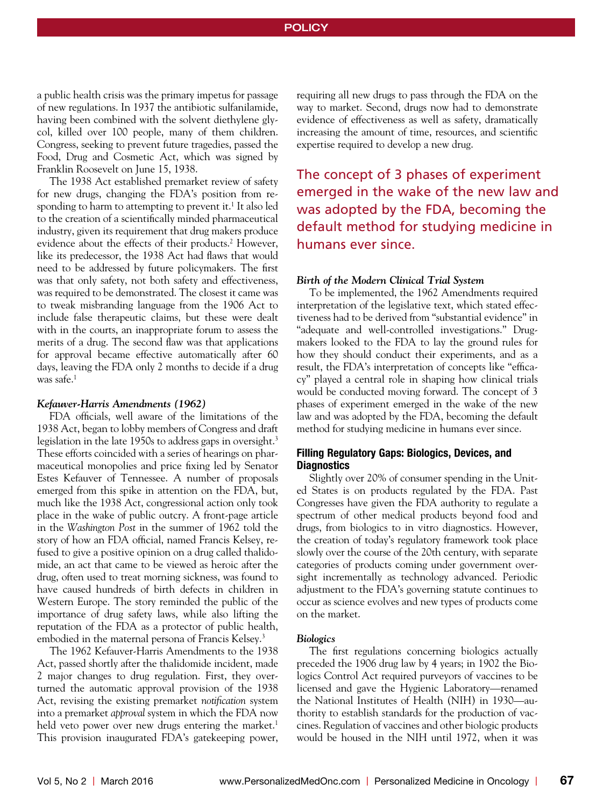## **POLICY**

a public health crisis was the primary impetus for passage of new regulations. In 1937 the antibiotic sulfanilamide, having been combined with the solvent diethylene glycol, killed over 100 people, many of them children. Congress, seeking to prevent future tragedies, passed the Food, Drug and Cosmetic Act, which was signed by Franklin Roosevelt on June 15, 1938.

The 1938 Act established premarket review of safety for new drugs, changing the FDA's position from responding to harm to attempting to prevent it.<sup>1</sup> It also led to the creation of a scientifically minded pharmaceutical industry, given its requirement that drug makers produce evidence about the effects of their products.<sup>2</sup> However, like its predecessor, the 1938 Act had flaws that would need to be addressed by future policymakers. The first was that only safety, not both safety and effectiveness, was required to be demonstrated. The closest it came was to tweak misbranding language from the 1906 Act to include false therapeutic claims, but these were dealt with in the courts, an inappropriate forum to assess the merits of a drug. The second flaw was that applications for approval became effective automatically after 60 days, leaving the FDA only 2 months to decide if a drug was safe. $<sup>1</sup>$ </sup>

#### *Kefauver-Harris Amendments (1962)*

FDA officials, well aware of the limitations of the 1938 Act, began to lobby members of Congress and draft legislation in the late 1950s to address gaps in oversight.<sup>3</sup> These efforts coincided with a series of hearings on pharmaceutical monopolies and price fixing led by Senator Estes Kefauver of Tennessee. A number of proposals emerged from this spike in attention on the FDA, but, much like the 1938 Act, congressional action only took place in the wake of public outcry. A front-page article in the *Washington Post* in the summer of 1962 told the story of how an FDA official, named Francis Kelsey, refused to give a positive opinion on a drug called thalidomide, an act that came to be viewed as heroic after the drug, often used to treat morning sickness, was found to have caused hundreds of birth defects in children in Western Europe. The story reminded the public of the importance of drug safety laws, while also lifting the reputation of the FDA as a protector of public health, embodied in the maternal persona of Francis Kelsey.<sup>3</sup>

The 1962 Kefauver-Harris Amendments to the 1938 Act, passed shortly after the thalidomide incident, made 2 major changes to drug regulation. First, they overturned the automatic approval provision of the 1938 Act, revising the existing premarket *notification* system into a premarket *approval* system in which the FDA now held veto power over new drugs entering the market.<sup>1</sup> This provision inaugurated FDA's gatekeeping power,

requiring all new drugs to pass through the FDA on the way to market. Second, drugs now had to demonstrate evidence of effectiveness as well as safety, dramatically increasing the amount of time, resources, and scientific expertise required to develop a new drug.

The concept of 3 phases of experiment emerged in the wake of the new law and was adopted by the FDA, becoming the default method for studying medicine in humans ever since.

### *Birth of the Modern Clinical Trial System*

To be implemented, the 1962 Amendments required interpretation of the legislative text, which stated effectiveness had to be derived from "substantial evidence" in "adequate and well-controlled investigations." Drugmakers looked to the FDA to lay the ground rules for how they should conduct their experiments, and as a result, the FDA's interpretation of concepts like "efficacy" played a central role in shaping how clinical trials would be conducted moving forward. The concept of 3 phases of experiment emerged in the wake of the new law and was adopted by the FDA, becoming the default method for studying medicine in humans ever since.

## **Filling Regulatory Gaps: Biologics, Devices, and Diagnostics**

Slightly over 20% of consumer spending in the United States is on products regulated by the FDA. Past Congresses have given the FDA authority to regulate a spectrum of other medical products beyond food and drugs, from biologics to in vitro diagnostics. However, the creation of today's regulatory framework took place slowly over the course of the 20th century, with separate categories of products coming under government oversight incrementally as technology advanced. Periodic adjustment to the FDA's governing statute continues to occur as science evolves and new types of products come on the market.

#### *Biologics*

The first regulations concerning biologics actually preceded the 1906 drug law by 4 years; in 1902 the Biologics Control Act required purveyors of vaccines to be licensed and gave the Hygienic Laboratory—renamed the National Institutes of Health (NIH) in 1930—authority to establish standards for the production of vaccines. Regulation of vaccines and other biologic products would be housed in the NIH until 1972, when it was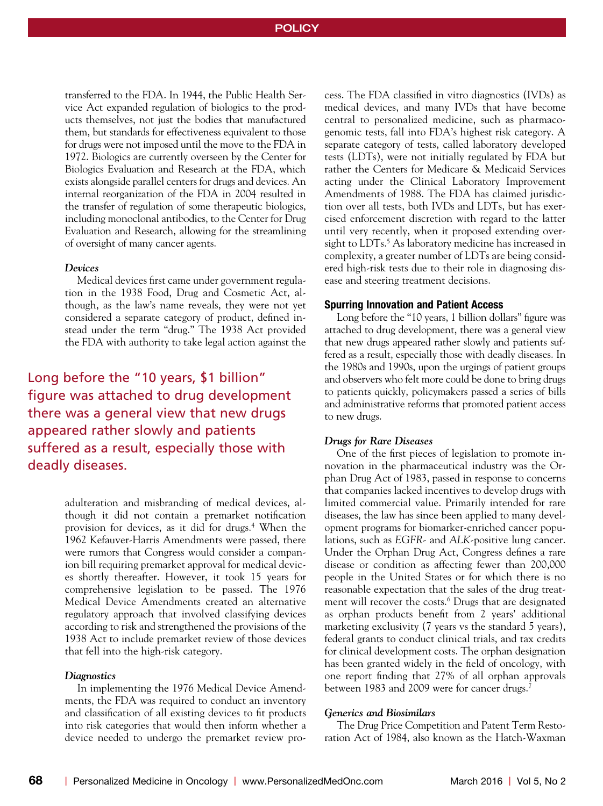transferred to the FDA. In 1944, the Public Health Service Act expanded regulation of biologics to the products themselves, not just the bodies that manufactured them, but standards for effectiveness equivalent to those for drugs were not imposed until the move to the FDA in 1972. Biologics are currently overseen by the Center for Biologics Evaluation and Research at the FDA, which exists alongside parallel centers for drugs and devices. An internal reorganization of the FDA in 2004 resulted in the transfer of regulation of some therapeutic biologics, including monoclonal antibodies, to the Center for Drug Evaluation and Research, allowing for the streamlining of oversight of many cancer agents.

#### *Devices*

Medical devices first came under government regulation in the 1938 Food, Drug and Cosmetic Act, although, as the law's name reveals, they were not yet considered a separate category of product, defined instead under the term "drug." The 1938 Act provided the FDA with authority to take legal action against the

Long before the "10 years, \$1 billion" figure was attached to drug development there was a general view that new drugs appeared rather slowly and patients suffered as a result, especially those with deadly diseases.

> adulteration and misbranding of medical devices, although it did not contain a premarket notification provision for devices, as it did for drugs.4 When the 1962 Kefauver-Harris Amendments were passed, there were rumors that Congress would consider a companion bill requiring premarket approval for medical devices shortly thereafter. However, it took 15 years for comprehensive legislation to be passed. The 1976 Medical Device Amendments created an alternative regulatory approach that involved classifying devices according to risk and strengthened the provisions of the 1938 Act to include premarket review of those devices that fell into the high-risk category.

#### *Diagnostics*

In implementing the 1976 Medical Device Amendments, the FDA was required to conduct an inventory and classification of all existing devices to fit products into risk categories that would then inform whether a device needed to undergo the premarket review process. The FDA classified in vitro diagnostics (IVDs) as medical devices, and many IVDs that have become central to personalized medicine, such as pharmacogenomic tests, fall into FDA's highest risk category. A separate category of tests, called laboratory developed tests (LDTs), were not initially regulated by FDA but rather the Centers for Medicare & Medicaid Services acting under the Clinical Laboratory Improvement Amendments of 1988. The FDA has claimed jurisdiction over all tests, both IVDs and LDTs, but has exercised enforcement discretion with regard to the latter until very recently, when it proposed extending oversight to LDTs.<sup>5</sup> As laboratory medicine has increased in complexity, a greater number of LDTs are being considered high-risk tests due to their role in diagnosing disease and steering treatment decisions.

## **Spurring Innovation and Patient Access**

Long before the "10 years, 1 billion dollars" figure was attached to drug development, there was a general view that new drugs appeared rather slowly and patients suffered as a result, especially those with deadly diseases. In the 1980s and 1990s, upon the urgings of patient groups and observers who felt more could be done to bring drugs to patients quickly, policymakers passed a series of bills and administrative reforms that promoted patient access to new drugs.

#### *Drugs for Rare Diseases*

One of the first pieces of legislation to promote innovation in the pharmaceutical industry was the Orphan Drug Act of 1983, passed in response to concerns that companies lacked incentives to develop drugs with limited commercial value. Primarily intended for rare diseases, the law has since been applied to many development programs for biomarker-enriched cancer populations, such as *EGFR-* and *ALK*-positive lung cancer. Under the Orphan Drug Act, Congress defines a rare disease or condition as affecting fewer than 200,000 people in the United States or for which there is no reasonable expectation that the sales of the drug treatment will recover the costs.6 Drugs that are designated as orphan products benefit from 2 years' additional marketing exclusivity (7 years vs the standard 5 years), federal grants to conduct clinical trials, and tax credits for clinical development costs. The orphan designation has been granted widely in the field of oncology, with one report finding that 27% of all orphan approvals between 1983 and 2009 were for cancer drugs.<sup>7</sup>

## *Generics and Biosimilars*

The Drug Price Competition and Patent Term Restoration Act of 1984, also known as the Hatch-Waxman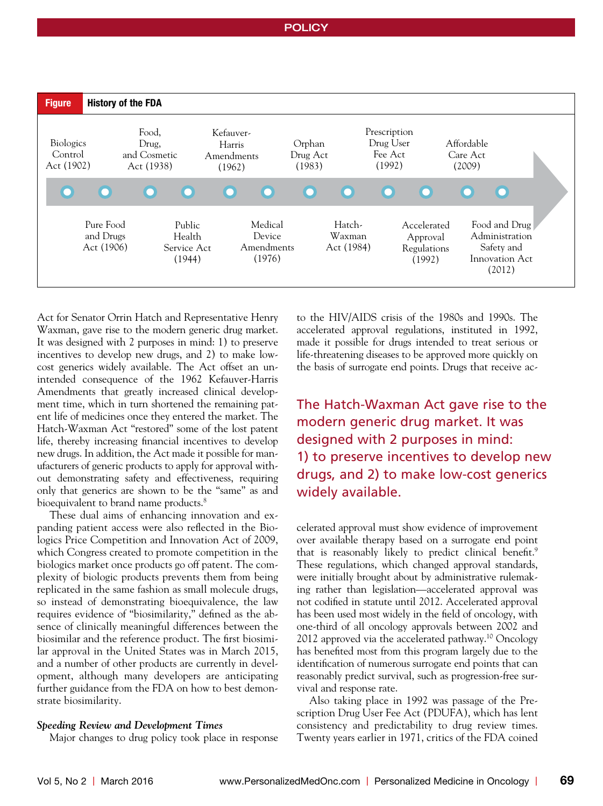## **POLICY**



Act for Senator Orrin Hatch and Representative Henry Waxman, gave rise to the modern generic drug market. It was designed with 2 purposes in mind: 1) to preserve incentives to develop new drugs, and 2) to make lowcost generics widely available. The Act offset an unintended consequence of the 1962 Kefauver-Harris Amendments that greatly increased clinical development time, which in turn shortened the remaining patent life of medicines once they entered the market. The Hatch-Waxman Act "restored" some of the lost patent life, thereby increasing financial incentives to develop new drugs. In addition, the Act made it possible for manufacturers of generic products to apply for approval without demonstrating safety and effectiveness, requiring only that generics are shown to be the "same" as and bioequivalent to brand name products.<sup>8</sup>

These dual aims of enhancing innovation and expanding patient access were also reflected in the Biologics Price Competition and Innovation Act of 2009, which Congress created to promote competition in the biologics market once products go off patent. The complexity of biologic products prevents them from being replicated in the same fashion as small molecule drugs, so instead of demonstrating bioequivalence, the law requires evidence of "biosimilarity," defined as the absence of clinically meaningful differences between the biosimilar and the reference product. The first biosimilar approval in the United States was in March 2015, and a number of other products are currently in development, although many developers are anticipating further guidance from the FDA on how to best demonstrate biosimilarity.

#### *Speeding Review and Development Times*

Major changes to drug policy took place in response

to the HIV/AIDS crisis of the 1980s and 1990s. The accelerated approval regulations, instituted in 1992, made it possible for drugs intended to treat serious or life-threatening diseases to be approved more quickly on the basis of surrogate end points. Drugs that receive ac-

The Hatch-Waxman Act gave rise to the modern generic drug market. It was designed with 2 purposes in mind: 1) to preserve incentives to develop new drugs, and 2) to make low-cost generics widely available.

celerated approval must show evidence of improvement over available therapy based on a surrogate end point that is reasonably likely to predict clinical benefit.<sup>9</sup> These regulations, which changed approval standards, were initially brought about by administrative rulemaking rather than legislation—accelerated approval was not codified in statute until 2012. Accelerated approval has been used most widely in the field of oncology, with one-third of all oncology approvals between 2002 and 2012 approved via the accelerated pathway.<sup>10</sup> Oncology has benefited most from this program largely due to the identification of numerous surrogate end points that can reasonably predict survival, such as progression-free survival and response rate.

Also taking place in 1992 was passage of the Prescription Drug User Fee Act (PDUFA), which has lent consistency and predictability to drug review times. Twenty years earlier in 1971, critics of the FDA coined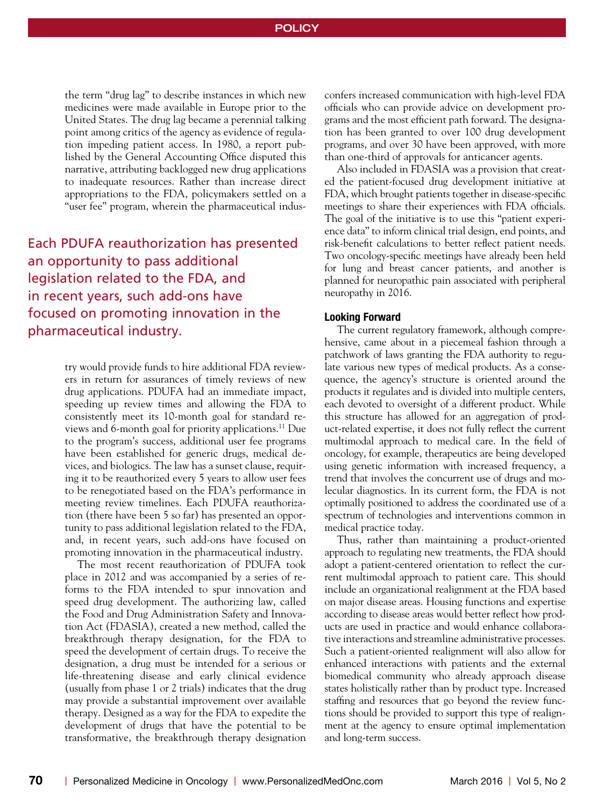the term "drug lag" to describe instances in which new medicines were made available in Europe prior to the United States. The drug lag became a perennial talking point among critics of the agency as evidence of regulation impeding patient access. In 1980, a report published by the General Accounting Office disputed this narrative, attributing backlogged new drug applications to inadequate resources. Rather than increase direct appropriations to the FDA, policymakers settled on a "user fee" program, wherein the pharmaceutical indus-

Each PDUFA reauthorization has presented an opportunity to pass additional legislation related to the FDA, and in recent years, such add-ons have focused on promoting innovation in the pharmaceutical industry.

> try would provide funds to hire additional FDA reviewers in return for assurances of timely reviews of new drug applications. PDUFA had an immediate impact, speeding up review times and allowing the FDA to consistently meet its 10-month goal for standard reviews and 6-month goal for priority applications.11 Due to the program's success, additional user fee programs have been established for generic drugs, medical devices, and biologics. The law has a sunset clause, requiring it to be reauthorized every 5 years to allow user fees to be renegotiated based on the FDA's performance in meeting review timelines. Each PDUFA reauthorization (there have been 5 so far) has presented an opportunity to pass additional legislation related to the FDA, and, in recent years, such add-ons have focused on promoting innovation in the pharmaceutical industry.

> The most recent reauthorization of PDUFA took place in 2012 and was accompanied by a series of reforms to the FDA intended to spur innovation and speed drug development. The authorizing law, called the Food and Drug Administration Safety and Innovation Act (FDASIA), created a new method, called the breakthrough therapy designation, for the FDA to speed the development of certain drugs. To receive the designation, a drug must be intended for a serious or life-threatening disease and early clinical evidence (usually from phase 1 or 2 trials) indicates that the drug may provide a substantial improvement over available therapy. Designed as a way for the FDA to expedite the development of drugs that have the potential to be transformative, the breakthrough therapy designation

confers increased communication with high-level FDA officials who can provide advice on development programs and the most efficient path forward. The designation has been granted to over 100 drug development programs, and over 30 have been approved, with more than one-third of approvals for anticancer agents.

Also included in FDASIA was a provision that created the patient-focused drug development initiative at FDA, which brought patients together in disease-specific meetings to share their experiences with FDA officials. The goal of the initiative is to use this "patient experience data" to inform clinical trial design, end points, and risk-benefit calculations to better reflect patient needs. Two oncology-specific meetings have already been held for lung and breast cancer patients, and another is planned for neuropathic pain associated with peripheral neuropathy in 2016.

#### **Looking Forward**

The current regulatory framework, although comprehensive, came about in a piecemeal fashion through a patchwork of laws granting the FDA authority to regulate various new types of medical products. As a consequence, the agency's structure is oriented around the products it regulates and is divided into multiple centers, each devoted to oversight of a different product. While this structure has allowed for an aggregation of product-related expertise, it does not fully reflect the current multimodal approach to medical care. In the field of oncology, for example, therapeutics are being developed using genetic information with increased frequency, a trend that involves the concurrent use of drugs and molecular diagnostics. In its current form, the FDA is not optimally positioned to address the coordinated use of a spectrum of technologies and interventions common in medical practice today.

Thus, rather than maintaining a product-oriented approach to regulating new treatments, the FDA should adopt a patient-centered orientation to reflect the current multimodal approach to patient care. This should include an organizational realignment at the FDA based on major disease areas. Housing functions and expertise according to disease areas would better reflect how products are used in practice and would enhance collaborative interactions and streamline administrative processes. Such a patient-oriented realignment will also allow for enhanced interactions with patients and the external biomedical community who already approach disease states holistically rather than by product type. Increased staffing and resources that go beyond the review functions should be provided to support this type of realignment at the agency to ensure optimal implementation and long-term success.